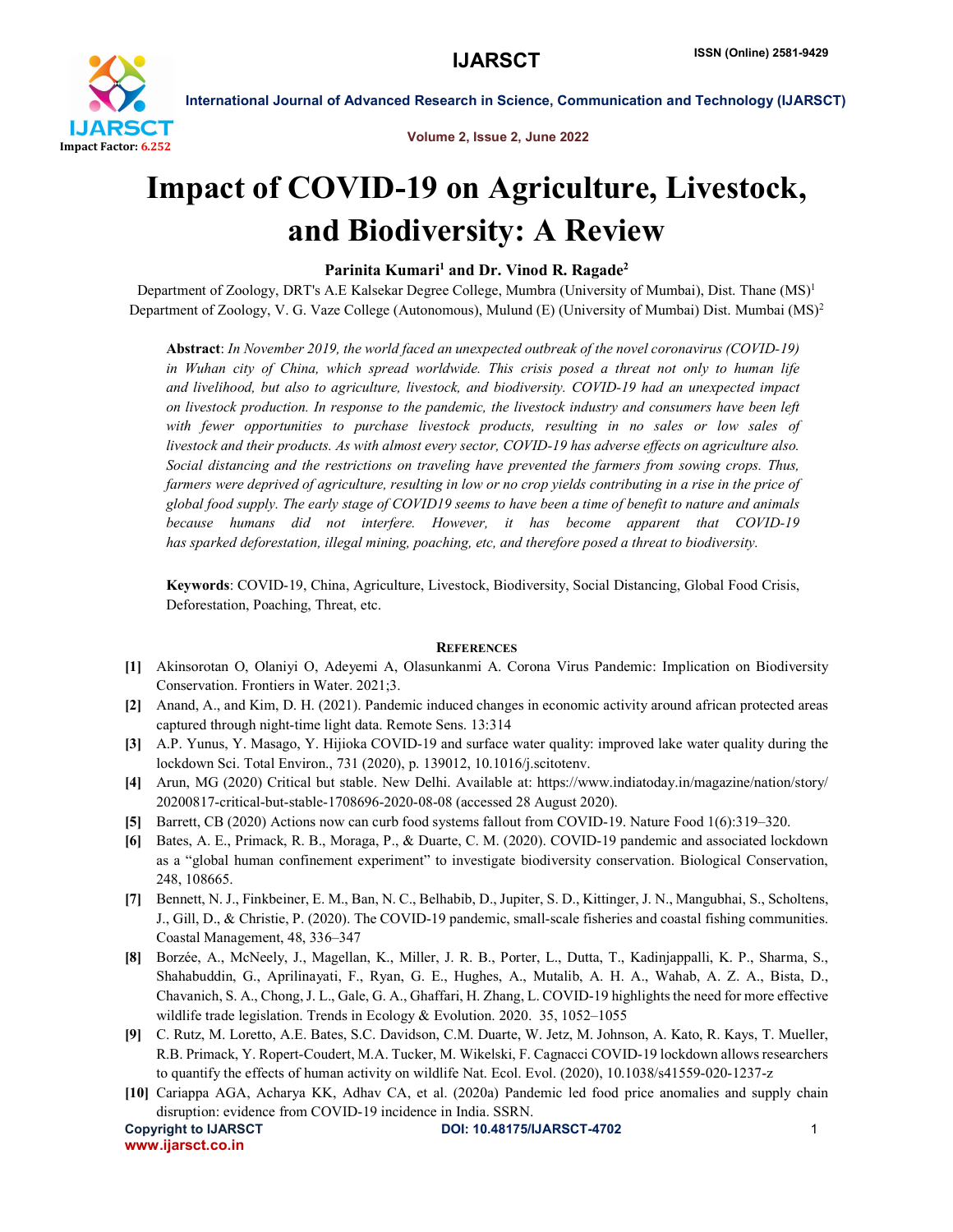

International Journal of Advanced Research in Science, Communication and Technology (IJARSCT)

Volume 2, Issue 2, June 2022

# Impact of COVID-19 on Agriculture, Livestock, and Biodiversity: A Review

## Parinita Kumari<sup>1</sup> and Dr. Vinod R. Ragade<sup>2</sup>

Department of Zoology, DRT's A.E Kalsekar Degree College, Mumbra (University of Mumbai), Dist. Thane (MS)<sup>1</sup> Department of Zoology, V. G. Vaze College (Autonomous), Mulund (E) (University of Mumbai) Dist. Mumbai (MS)<sup>2</sup>

Abstract: *In November 2019, the world faced an unexpected outbreak of the novel coronavirus (COVID-19) in Wuhan city of China, which spread worldwide. This crisis posed a threat not only to human life and livelihood, but also to agriculture, livestock, and biodiversity. COVID-19 had an unexpected impact on livestock production. In response to the pandemic, the livestock industry and consumers have been left with fewer opportunities to purchase livestock products, resulting in no sales or low sales of livestock and their products. As with almost every sector, COVID-19 has adverse effects on agriculture also. Social distancing and the restrictions on traveling have prevented the farmers from sowing crops. Thus, farmers were deprived of agriculture, resulting in low or no crop yields contributing in a rise in the price of global food supply. The early stage of COVID19 seems to have been a time of benefit to nature and animals because humans did not interfere. However, it has become apparent that COVID-19 has sparked deforestation, illegal mining, poaching, etc, and therefore posed a threat to biodiversity.*

Keywords: COVID-19, China, Agriculture, Livestock, Biodiversity, Social Distancing, Global Food Crisis, Deforestation, Poaching, Threat, etc.

### **REFERENCES**

- [1] Akinsorotan O, Olaniyi O, Adeyemi A, Olasunkanmi A. Corona Virus Pandemic: Implication on Biodiversity Conservation. Frontiers in Water. 2021;3.
- [2] Anand, A., and Kim, D. H. (2021). Pandemic induced changes in economic activity around african protected areas captured through night-time light data. Remote Sens. 13:314
- [3] A.P. Yunus, Y. Masago, Y. Hijioka COVID-19 and surface water quality: improved lake water quality during the lockdown Sci. Total Environ., 731 (2020), p. 139012, 10.1016/j.scitotenv.
- [4] Arun, MG (2020) Critical but stable. New Delhi. Available at: https://www.indiatoday.in/magazine/nation/story/ 20200817-critical-but-stable-1708696-2020-08-08 (accessed 28 August 2020).
- [5] Barrett, CB (2020) Actions now can curb food systems fallout from COVID-19. Nature Food 1(6):319–320.
- [6] Bates, A. E., Primack, R. B., Moraga, P., & Duarte, C. M. (2020). COVID-19 pandemic and associated lockdown as a "global human confinement experiment" to investigate biodiversity conservation. Biological Conservation, 248, 108665.
- [7] Bennett, N. J., Finkbeiner, E. M., Ban, N. C., Belhabib, D., Jupiter, S. D., Kittinger, J. N., Mangubhai, S., Scholtens, J., Gill, D., & Christie, P. (2020). The COVID-19 pandemic, small-scale fisheries and coastal fishing communities. Coastal Management, 48, 336–347
- [8] Borzée, A., McNeely, J., Magellan, K., Miller, J. R. B., Porter, L., Dutta, T., Kadinjappalli, K. P., Sharma, S., Shahabuddin, G., Aprilinayati, F., Ryan, G. E., Hughes, A., Mutalib, A. H. A., Wahab, A. Z. A., Bista, D., Chavanich, S. A., Chong, J. L., Gale, G. A., Ghaffari, H. Zhang, L. COVID-19 highlights the need for more effective wildlife trade legislation. Trends in Ecology & Evolution. 2020. 35, 1052-1055
- [9] C. Rutz, M. Loretto, A.E. Bates, S.C. Davidson, C.M. Duarte, W. Jetz, M. Johnson, A. Kato, R. Kays, T. Mueller, R.B. Primack, Y. Ropert-Coudert, M.A. Tucker, M. Wikelski, F. Cagnacci COVID-19 lockdown allows researchers to quantify the effects of human activity on wildlife Nat. Ecol. Evol. (2020), 10.1038/s41559-020-1237-z
- [10] Cariappa AGA, Acharya KK, Adhav CA, et al. (2020a) Pandemic led food price anomalies and supply chain disruption: evidence from COVID-19 incidence in India. SSRN.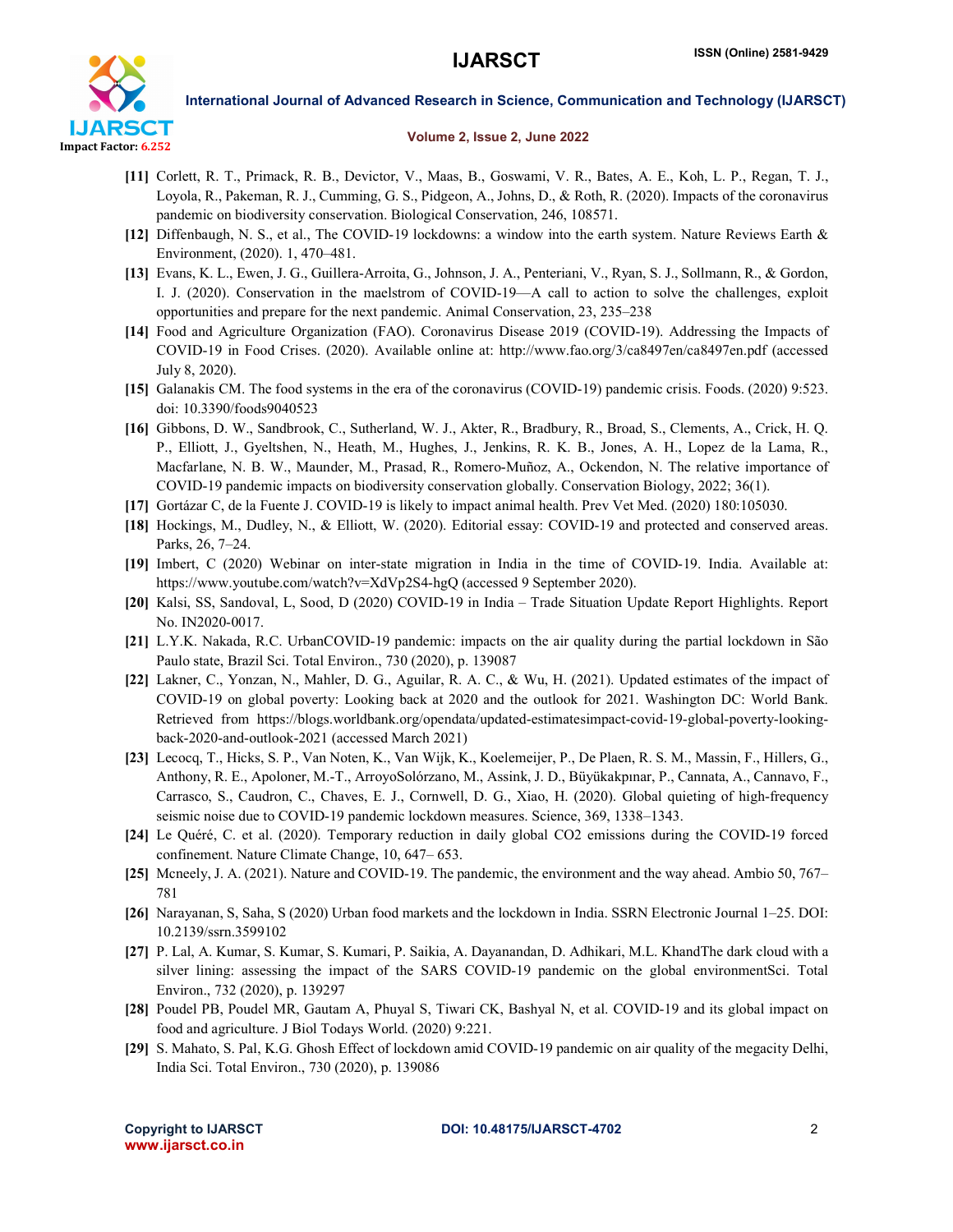

### International Journal of Advanced Research in Science, Communication and Technology (IJARSCT)

#### Volume 2, Issue 2, June 2022

- [11] Corlett, R. T., Primack, R. B., Devictor, V., Maas, B., Goswami, V. R., Bates, A. E., Koh, L. P., Regan, T. J., Loyola, R., Pakeman, R. J., Cumming, G. S., Pidgeon, A., Johns, D., & Roth, R. (2020). Impacts of the coronavirus pandemic on biodiversity conservation. Biological Conservation, 246, 108571.
- [12] Diffenbaugh, N. S., et al., The COVID-19 lockdowns: a window into the earth system. Nature Reviews Earth & Environment, (2020). 1, 470–481.
- [13] Evans, K. L., Ewen, J. G., Guillera-Arroita, G., Johnson, J. A., Penteriani, V., Ryan, S. J., Sollmann, R., & Gordon, I. J. (2020). Conservation in the maelstrom of COVID-19—A call to action to solve the challenges, exploit opportunities and prepare for the next pandemic. Animal Conservation, 23, 235–238
- [14] Food and Agriculture Organization (FAO). Coronavirus Disease 2019 (COVID-19). Addressing the Impacts of COVID-19 in Food Crises. (2020). Available online at: http://www.fao.org/3/ca8497en/ca8497en.pdf (accessed July 8, 2020).
- [15] Galanakis CM. The food systems in the era of the coronavirus (COVID-19) pandemic crisis. Foods. (2020) 9:523. doi: 10.3390/foods9040523
- [16] Gibbons, D. W., Sandbrook, C., Sutherland, W. J., Akter, R., Bradbury, R., Broad, S., Clements, A., Crick, H. Q. P., Elliott, J., Gyeltshen, N., Heath, M., Hughes, J., Jenkins, R. K. B., Jones, A. H., Lopez de la Lama, R., Macfarlane, N. B. W., Maunder, M., Prasad, R., Romero-Muñoz, A., Ockendon, N. The relative importance of COVID-19 pandemic impacts on biodiversity conservation globally. Conservation Biology, 2022; 36(1).
- [17] Gortázar C, de la Fuente J. COVID-19 is likely to impact animal health. Prev Vet Med. (2020) 180:105030.
- [18] Hockings, M., Dudley, N., & Elliott, W. (2020). Editorial essay: COVID-19 and protected and conserved areas. Parks, 26, 7–24.
- [19] Imbert, C (2020) Webinar on inter-state migration in India in the time of COVID-19. India. Available at: https://www.youtube.com/watch?v=XdVp2S4-hgQ (accessed 9 September 2020).
- [20] Kalsi, SS, Sandoval, L, Sood, D (2020) COVID-19 in India Trade Situation Update Report Highlights. Report No. IN2020-0017.
- [21] L.Y.K. Nakada, R.C. UrbanCOVID-19 pandemic: impacts on the air quality during the partial lockdown in São Paulo state, Brazil Sci. Total Environ., 730 (2020), p. 139087
- [22] Lakner, C., Yonzan, N., Mahler, D. G., Aguilar, R. A. C., & Wu, H. (2021). Updated estimates of the impact of COVID-19 on global poverty: Looking back at 2020 and the outlook for 2021. Washington DC: World Bank. Retrieved from https://blogs.worldbank.org/opendata/updated-estimatesimpact-covid-19-global-poverty-lookingback-2020-and-outlook-2021 (accessed March 2021)
- [23] Lecocq, T., Hicks, S. P., Van Noten, K., Van Wijk, K., Koelemeijer, P., De Plaen, R. S. M., Massin, F., Hillers, G., Anthony, R. E., Apoloner, M.-T., ArroyoSolórzano, M., Assink, J. D., Büyükakpınar, P., Cannata, A., Cannavo, F., Carrasco, S., Caudron, C., Chaves, E. J., Cornwell, D. G., Xiao, H. (2020). Global quieting of high-frequency seismic noise due to COVID-19 pandemic lockdown measures. Science, 369, 1338–1343.
- [24] Le Quéré, C. et al. (2020). Temporary reduction in daily global CO2 emissions during the COVID-19 forced confinement. Nature Climate Change, 10, 647– 653.
- [25] Mcneely, J. A. (2021). Nature and COVID-19. The pandemic, the environment and the way ahead. Ambio 50, 767– 781
- [26] Narayanan, S, Saha, S (2020) Urban food markets and the lockdown in India. SSRN Electronic Journal 1–25. DOI: 10.2139/ssrn.3599102
- [27] P. Lal, A. Kumar, S. Kumar, S. Kumari, P. Saikia, A. Dayanandan, D. Adhikari, M.L. KhandThe dark cloud with a silver lining: assessing the impact of the SARS COVID-19 pandemic on the global environmentSci. Total Environ., 732 (2020), p. 139297
- [28] Poudel PB, Poudel MR, Gautam A, Phuyal S, Tiwari CK, Bashyal N, et al. COVID-19 and its global impact on food and agriculture. J Biol Todays World. (2020) 9:221.
- [29] S. Mahato, S. Pal, K.G. Ghosh Effect of lockdown amid COVID-19 pandemic on air quality of the megacity Delhi, India Sci. Total Environ., 730 (2020), p. 139086